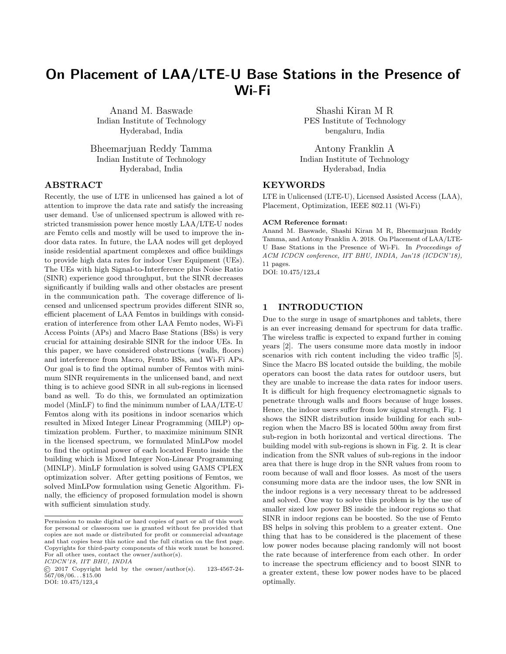# On Placement of LAA/LTE-U Base Stations in the Presence of Wi-Fi

Anand M. Baswade Indian Institute of Technology Hyderabad, India

Bheemarjuan Reddy Tamma Indian Institute of Technology Hyderabad, India

### ABSTRACT

Recently, the use of LTE in unlicensed has gained a lot of attention to improve the data rate and satisfy the increasing user demand. Use of unlicensed spectrum is allowed with restricted transmission power hence mostly LAA/LTE-U nodes are Femto cells and mostly will be used to improve the indoor data rates. In future, the LAA nodes will get deployed inside residential apartment complexes and office buildings to provide high data rates for indoor User Equipment (UEs). The UEs with high Signal-to-Interference plus Noise Ratio (SINR) experience good throughput, but the SINR decreases significantly if building walls and other obstacles are present in the communication path. The coverage difference of licensed and unlicensed spectrum provides different SINR so, efficient placement of LAA Femtos in buildings with consideration of interference from other LAA Femto nodes, Wi-Fi Access Points (APs) and Macro Base Stations (BSs) is very crucial for attaining desirable SINR for the indoor UEs. In this paper, we have considered obstructions (walls, floors) and interference from Macro, Femto BSs, and Wi-Fi APs. Our goal is to find the optimal number of Femtos with minimum SINR requirements in the unlicensed band, and next thing is to achieve good SINR in all sub-regions in licensed band as well. To do this, we formulated an optimization model (MinLF) to find the minimum number of LAA/LTE-U Femtos along with its positions in indoor scenarios which resulted in Mixed Integer Linear Programming (MILP) optimization problem. Further, to maximize minimum SINR in the licensed spectrum, we formulated MinLPow model to find the optimal power of each located Femto inside the building which is Mixed Integer Non-Linear Programming (MINLP). MinLF formulation is solved using GAMS CPLEX optimization solver. After getting positions of Femtos, we solved MinLPow formulation using Genetic Algorithm. Finally, the efficiency of proposed formulation model is shown with sufficient simulation study.

ICDCN'18, IIT BHU, INDIA

Shashi Kiran M R PES Institute of Technology bengaluru, India

Antony Franklin A Indian Institute of Technology Hyderabad, India

### KEYWORDS

LTE in Unlicensed (LTE-U), Licensed Assisted Access (LAA), Placement, Optimization, IEEE 802.11 (Wi-Fi)

#### ACM Reference format:

Anand M. Baswade, Shashi Kiran M R, Bheemarjuan Reddy Tamma, and Antony Franklin A. 2018. On Placement of LAA/LTE-U Base Stations in the Presence of Wi-Fi. In Proceedings of ACM ICDCN conference, IIT BHU, INDIA, Jan'18 (ICDCN'18), 11 pages. DOI: 10.475/123 4

# 1 INTRODUCTION

Due to the surge in usage of smartphones and tablets, there is an ever increasing demand for spectrum for data traffic. The wireless traffic is expected to expand further in coming years [\[2\]](#page-9-0). The users consume more data mostly in indoor scenarios with rich content including the video traffic [\[5\]](#page-9-1). Since the Macro BS located outside the building, the mobile operators can boost the data rates for outdoor users, but they are unable to increase the data rates for indoor users. It is difficult for high frequency electromagnetic signals to penetrate through walls and floors because of huge losses. Hence, the indoor users suffer from low signal strength. Fig. [1](#page-1-0) shows the SINR distribution inside building for each subregion when the Macro BS is located 500m away from first sub-region in both horizontal and vertical directions. The building model with sub-regions is shown in Fig. [2.](#page-2-0) It is clear indication from the SNR values of sub-regions in the indoor area that there is huge drop in the SNR values from room to room because of wall and floor losses. As most of the users consuming more data are the indoor uses, the low SNR in the indoor regions is a very necessary threat to be addressed and solved. One way to solve this problem is by the use of smaller sized low power BS inside the indoor regions so that SINR in indoor regions can be boosted. So the use of Femto BS helps in solving this problem to a greater extent. One thing that has to be considered is the placement of these low power nodes because placing randomly will not boost the rate because of interference from each other. In order to increase the spectrum efficiency and to boost SINR to a greater extent, these low power nodes have to be placed optimally.

Permission to make digital or hard copies of part or all of this work for personal or classroom use is granted without fee provided that copies are not made or distributed for profit or commercial advantage and that copies bear this notice and the full citation on the first page. Copyrights for third-party components of this work must be honored. For all other uses, contact the owner/author(s).

<sup>©</sup> 2017 Copyright held by the owner/author(s). 123-4567-24-  $567/08/06...$ \$15.00 DOI: 10.475/123<sub>-4</sub>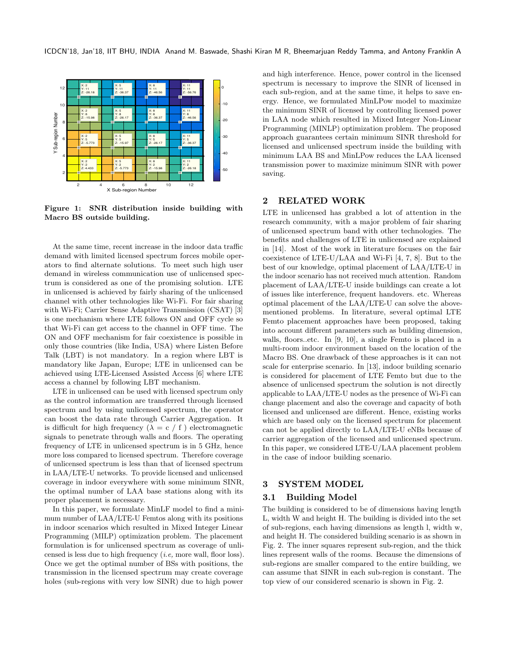<span id="page-1-0"></span>

Figure 1: SNR distribution inside building with Macro BS outside building.

At the same time, recent increase in the indoor data traffic demand with limited licensed spectrum forces mobile operators to find alternate solutions. To meet such high user demand in wireless communication use of unlicensed spectrum is considered as one of the promising solution. LTE in unlicensed is achieved by fairly sharing of the unlicensed channel with other technologies like Wi-Fi. For fair sharing with Wi-Fi; Carrier Sense Adaptive Transmission (CSAT) [\[3\]](#page-9-2) is one mechanism where LTE follows ON and OFF cycle so that Wi-Fi can get access to the channel in OFF time. The ON and OFF mechanism for fair coexistence is possible in only those countries (like India, USA) where Listen Before Talk (LBT) is not mandatory. In a region where LBT is mandatory like Japan, Europe; LTE in unlicensed can be achieved using LTE-Licensed Assisted Access [\[6\]](#page-9-3) where LTE access a channel by following LBT mechanism.

LTE in unlicensed can be used with licensed spectrum only as the control information are transferred through licensed spectrum and by using unlicensed spectrum, the operator can boost the data rate through Carrier Aggregation. It is difficult for high frequency ( $\lambda = c / f$ ) electromagnetic signals to penetrate through walls and floors. The operating frequency of LTE in unlicensed spectrum is in 5 GHz, hence more loss compared to licensed spectrum. Therefore coverage of unlicensed spectrum is less than that of licensed spectrum in LAA/LTE-U networks. To provide licensed and unlicensed coverage in indoor everywhere with some minimum SINR, the optimal number of LAA base stations along with its proper placement is necessary.

In this paper, we formulate MinLF model to find a minimum number of LAA/LTE-U Femtos along with its positions in indoor scenarios which resulted in Mixed Integer Linear Programming (MILP) optimization problem. The placement formulation is for unlicensed spectrum as coverage of unlicensed is less due to high frequency (i.e, more wall, floor loss). Once we get the optimal number of BSs with positions, the transmission in the licensed spectrum may create coverage holes (sub-regions with very low SINR) due to high power

and high interference. Hence, power control in the licensed spectrum is necessary to improve the SINR of licensed in each sub-region, and at the same time, it helps to save energy. Hence, we formulated MinLPow model to maximize the minimum SINR of licensed by controlling licensed power in LAA node which resulted in Mixed Integer Non-Linear Programming (MINLP) optimization problem. The proposed approach guarantees certain minimum SINR threshold for licensed and unlicensed spectrum inside the building with minimum LAA BS and MinLPow reduces the LAA licensed transmission power to maximize minimum SINR with power saving.

### 2 RELATED WORK

LTE in unlicensed has grabbed a lot of attention in the research community, with a major problem of fair sharing of unlicensed spectrum band with other technologies. The benefits and challenges of LTE in unlicensed are explained in [\[14\]](#page-9-4). Most of the work in literature focuses on the fair coexistence of LTE-U/LAA and Wi-Fi [\[4,](#page-9-5) [7,](#page-9-6) [8\]](#page-9-7). But to the best of our knowledge, optimal placement of LAA/LTE-U in the indoor scenario has not received much attention. Random placement of LAA/LTE-U inside buildings can create a lot of issues like interference, frequent handovers. etc. Whereas optimal placement of the LAA/LTE-U can solve the abovementioned problems. In literature, several optimal LTE Femto placement approaches have been proposed, taking into account different parameters such as building dimension, walls, floors..etc. In [\[9,](#page-9-8) [10\]](#page-9-9), a single Femto is placed in a multi-room indoor environment based on the location of the Macro BS. One drawback of these approaches is it can not scale for enterprise scenario. In [\[13\]](#page-9-10), indoor building scenario is considered for placement of LTE Femto but due to the absence of unlicensed spectrum the solution is not directly applicable to LAA/LTE-U nodes as the presence of Wi-Fi can change placement and also the coverage and capacity of both licensed and unlicensed are different. Hence, existing works which are based only on the licensed spectrum for placement can not be applied directly to LAA/LTE-U eNBs because of carrier aggregation of the licensed and unlicensed spectrum. In this paper, we considered LTE-U/LAA placement problem in the case of indoor building scenario.

### <span id="page-1-1"></span>3 SYSTEM MODEL

### 3.1 Building Model

The building is considered to be of dimensions having length L, width W and height H. The building is divided into the set of sub-regions, each having dimensions as length l, width w, and height H. The considered building scenario is as shown in Fig. [2.](#page-2-0) The inner squares represent sub-region, and the thick lines represent walls of the rooms. Because the dimensions of sub-regions are smaller compared to the entire building, we can assume that SINR in each sub-region is constant. The top view of our considered scenario is shown in Fig. [2.](#page-2-0)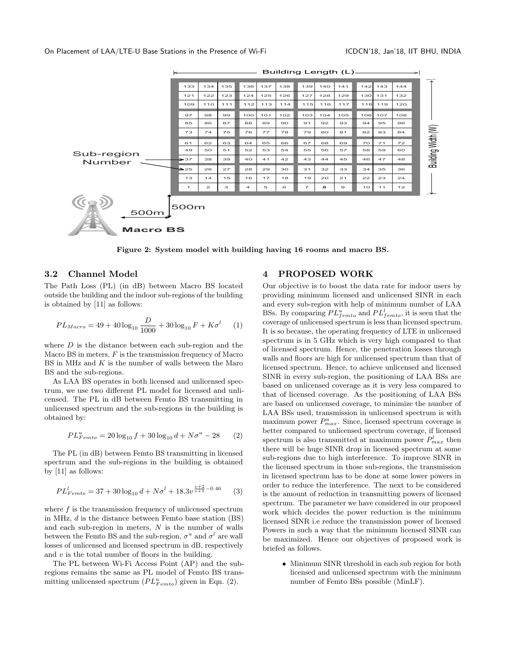<span id="page-2-0"></span>

Figure 2: System model with building having 16 rooms and macro BS.

### 3.2 Channel Model

The Path Loss (PL) (in dB) between Macro BS located outside the building and the indoor sub-regions of the building is obtained by [\[11\]](#page-9-11) as follows:

$$
PL_{Maccro} = 49 + 40 \log_{10} \frac{D}{1000} + 30 \log_{10} F + K \sigma^{l} \qquad (1)
$$

where  $D$  is the distance between each sub-region and the Macro BS in meters,  $F$  is the transmission frequency of Macro BS in MHz and  $K$  is the number of walls between the Maro BS and the sub-regions.

As LAA BS operates in both licensed and unlicensed spectrum, we use two different PL model for licensed and unlicensed. The PL in dB between Femto BS transmitting in unlicensed spectrum and the sub-regions in the building is obtained by:

<span id="page-2-1"></span>
$$
PL_{Femto}^{u} = 20\log_{10} f + 30\log_{10} d + N\sigma^{u} - 28
$$
 (2)

The PL (in dB) between Femto BS transmitting in licensed spectrum and the sub-regions in the building is obtained by [\[11\]](#page-9-11) as follows:

$$
PL_{Femto}^l = 37 + 30\log_{10}d + N\sigma^l + 18.3v^{\frac{v+2}{v+1} - 0.46}
$$
 (3)

where  $f$  is the transmission frequency of unlicensed spectrum in MHz, d is the distance between Femto base station (BS) and each sub-region in meters,  $N$  is the number of walls between the Femto BS and the sub-region,  $\sigma^u$  and  $\sigma^l$  are wall losses of unlicensed and licensed spectrum in dB, respectively and  $v$  is the total number of floors in the building.

The PL between Wi-Fi Access Point (AP) and the subregions remains the same as PL model of Femto BS transmitting unlicensed spectrum  $(PL_{Femto}^u)$  given in Eqn. [\(2\)](#page-2-1).

### 4 PROPOSED WORK

Our objective is to boost the data rate for indoor users by providing minimum licensed and unlicensed SINR in each and every sub-region with help of minimum number of LAA BSs. By comparing  $PL_{fento}^u$  and  $PL_{fento}^l$ , it is seen that the coverage of unlicensed spectrum is less than licensed spectrum. It is so because, the operating frequency of LTE in unlicensed spectrum is in 5 GHz which is very high compared to that of licensed spectrum. Hence, the penetration losses through walls and floors are high for unlicensed spectrum than that of licensed spectrum. Hence, to achieve unlicensed and licensed SINR in every sub-region, the positioning of LAA BSs are based on unlicensed coverage as it is very less compared to that of licensed coverage. As the positioning of LAA BSs are based on unlicensed coverage, to minimize the number of LAA BSs used, transmission in unlicensed spectrum is with maximum power  $P_{max}^u$ . Since, licensed spectrum coverage is better compared to unlicensed spectrum coverage, if licensed spectrum is also transmitted at maximum power  $P_{max}^l$  then there will be huge SINR drop in licensed spectrum at some sub-regions due to high interference. To improve SINR in the licensed spectrum in those sub-regions, the transmission in licensed spectrum has to be done at some lower powers in order to reduce the interference. The next to be considered is the amount of reduction in transmitting powers of licensed spectrum. The parameter we have considered in our proposed work which decides the power reduction is the minimum licensed SINR i.e reduce the transmission power of licensed Powers in such a way that the minimum licensed SINR can be maximized. Hence our objectives of proposed work is briefed as follows.

• Minimum SINR threshold in each sub region for both licensed and unlicensed spectrum with the minimum number of Femto BSs possible (MinLF).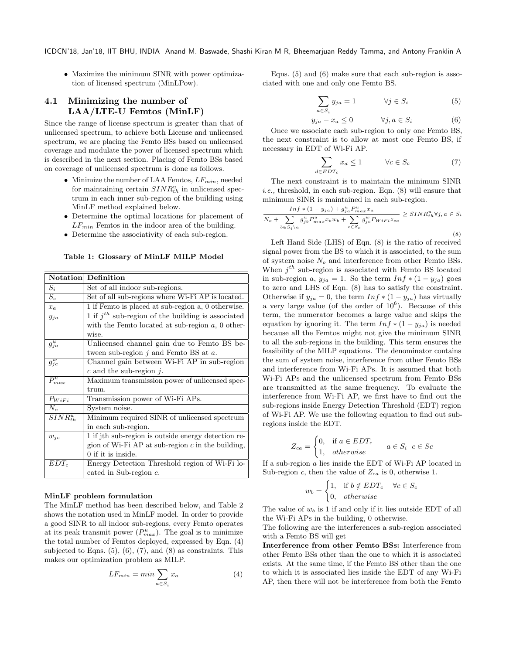• Maximize the minimum SINR with power optimization of licensed spectrum (MinLPow).

# 4.1 Minimizing the number of LAA/LTE-U Femtos (MinLF)

Since the range of license spectrum is greater than that of unlicensed spectrum, to achieve both License and unlicensed spectrum, we are placing the Femto BSs based on unlicensed coverage and modulate the power of licensed spectrum which is described in the next section. Placing of Femto BSs based on coverage of unlicensed spectrum is done as follows.

- Minimize the number of LAA Femtos,  $LF_{min}$ , needed for maintaining certain  $SINR_{th}^u$  in unlicensed spectrum in each inner sub-region of the building using MinLF method explained below.
- Determine the optimal locations for placement of  $LF_{min}$  Femtos in the indoor area of the building.
- Determine the associativity of each sub-region.

Table 1: Glossary of MinLF MILP Model

|                        | <b>Notation</b> Definition                             |
|------------------------|--------------------------------------------------------|
| $S_i$                  | Set of all indoor sub-regions.                         |
| $S_c$                  | Set of all sub-regions where Wi-Fi AP is located.      |
| $x_a$                  | 1 if Femto is placed at sub-region a, 0 otherwise.     |
| $y_{ja}$               | 1 if $j^{th}$ sub-region of the building is associated |
|                        | with the Femto located at sub-region $a, 0$ other-     |
|                        | wise.                                                  |
| $g_{ja}^u$             | Unlicensed channel gain due to Femto BS be-            |
|                        | tween sub-region $i$ and Femto BS at $a$ .             |
| $\overline{g_{jc}^w}$  | Channel gain between Wi-Fi AP in sub-region            |
|                        | c and the sub-region $i$ .                             |
| $\overline{P_{max}^u}$ | Maximum transmission power of unlicensed spec-         |
|                        | trum.                                                  |
| $P_{WiFi}$             | Transmission power of Wi-Fi APs.                       |
| $N_o$                  | System noise.                                          |
| $SINR_{th}^u$          | Minimum required SINR of unlicensed spectrum           |
|                        | in each sub-region.                                    |
| $w_{ic}$               | 1 if jth sub-region is outside energy detection re-    |
|                        | gion of Wi-Fi AP at sub-region $c$ in the building,    |
|                        | 0 if it is inside.                                     |
| $EDT_c$                | Energy Detection Threshold region of Wi-Fi lo-         |
|                        | cated in Sub-region $c$ .                              |

#### MinLF problem formulation

The MinLF method has been described below, and Table [2](#page-4-0) shows the notation used in MinLF model. In order to provide a good SINR to all indoor sub-regions, every Femto operates at its peak transmit power  $(P_{max}^u)$ . The goal is to minimize the total number of Femtos deployed, expressed by Eqn. [\(4\)](#page-3-0) subjected to Eqns.  $(5)$ ,  $(6)$ ,  $(7)$ , and  $(8)$  as constraints. This makes our optimization problem as MILP.

<span id="page-3-0"></span>
$$
LF_{min} = min \sum_{a \in S_i} x_a \tag{4}
$$

Eqns. [\(5\)](#page-3-1) and [\(6\)](#page-3-2) make sure that each sub-region is associated with one and only one Femto BS.

<span id="page-3-1"></span>
$$
\sum_{a \in S_i} y_{ja} = 1 \qquad \forall j \in S_i \tag{5}
$$

<span id="page-3-2"></span>
$$
y_{ja} - x_a \le 0 \qquad \forall j, a \in S_i \tag{6}
$$

Once we associate each sub-region to only one Femto BS, the next constraint is to allow at most one Femto BS, if necessary in EDT of Wi-Fi AP.

<span id="page-3-3"></span>
$$
\sum_{d \in EDT_c} x_d \le 1 \qquad \forall c \in S_c \tag{7}
$$

The next constraint is to maintain the minimum SINR i.e., threshold, in each sub-region. Eqn. [\(8\)](#page-3-4) will ensure that minimum SINR is maintained in each sub-region.  $I = I + (1$ 

<span id="page-3-4"></span>
$$
\frac{\operatorname{Inf} * (1 - y_{ja}) + g_{ja}^u P_{max}^u x_a}{N_o + \sum_{b \in S_i \setminus a} g_{jb}^u P_{max}^u x_b w_b + \sum_{c \in S_c} g_{jc}^w P_{WiFi} z_{ca}} \geq \operatorname{SIN} R_{th}^u \forall j, a \in S_i
$$
\n
$$
(8)
$$

Left Hand Side (LHS) of Eqn. [\(8\)](#page-3-4) is the ratio of received signal power from the BS to which it is associated, to the sum of system noise  $N<sub>o</sub>$  and interference from other Femto BSs. When  $j^{th}$  sub-region is associated with Femto BS located in sub-region a,  $y_{ja} = 1$ . So the term  $Inf * (1 - y_{ja})$  goes to zero and LHS of Eqn. [\(8\)](#page-3-4) has to satisfy the constraint. Otherwise if  $y_{ja} = 0$ , the term  $Inf * (1 - y_{ja})$  has virtually a very large value (of the order of  $10^6$ ). Because of this term, the numerator becomes a large value and skips the equation by ignoring it. The term  $Inf * (1 - y_{ja})$  is needed because all the Femtos might not give the minimum SINR to all the sub-regions in the building. This term ensures the feasibility of the MILP equations. The denominator contains the sum of system noise, interference from other Femto BSs and interference from Wi-Fi APs. It is assumed that both Wi-Fi APs and the unlicensed spectrum from Femto BSs are transmitted at the same frequency. To evaluate the interference from Wi-Fi AP, we first have to find out the sub-regions inside Energy Detection Threshold (EDT) region of Wi-Fi AP. We use the following equation to find out subregions inside the EDT.

$$
Z_{ca} = \begin{cases} 0, & \text{if } a \in EDT_c \\ 1, & otherwise \end{cases} \quad a \in S_i \quad c \in Sc
$$

If a sub-region a lies inside the EDT of Wi-Fi AP located in Sub-region c, then the value of  $Z_{ca}$  is 0, otherwise 1.

$$
w_b = \begin{cases} 1, & \text{if } b \notin EDT_c & \forall c \in S_c \\ 0, & \text{otherwise} \end{cases}
$$

The value of  $w_b$  is 1 if and only if it lies outside EDT of all the Wi-Fi APs in the building, 0 otherwise.

The following are the interferences a sub-region associated with a Femto BS will get

Interference from other Femto BSs: Interference from other Femto BSs other than the one to which it is associated exists. At the same time, if the Femto BS other than the one to which it is associated lies inside the EDT of any Wi-Fi AP, then there will not be interference from both the Femto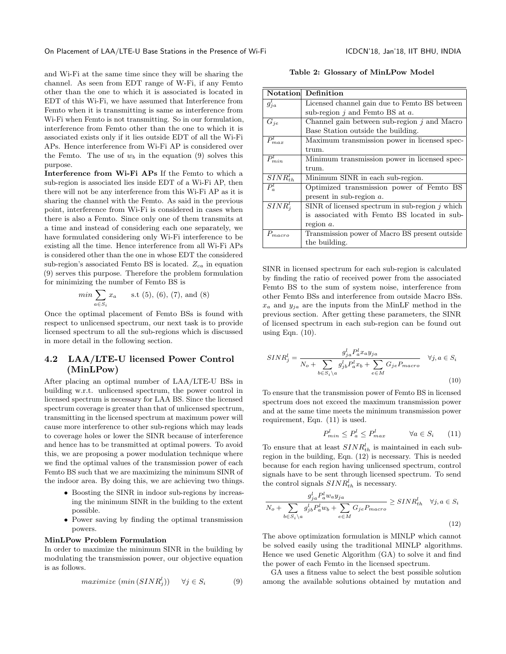and Wi-Fi at the same time since they will be sharing the channel. As seen from EDT range of W-Fi, if any Femto other than the one to which it is associated is located in EDT of this Wi-Fi, we have assumed that Interference from Femto when it is transmitting is same as interference from Wi-Fi when Femto is not transmitting. So in our formulation, interference from Femto other than the one to which it is associated exists only if it lies outside EDT of all the Wi-Fi APs. Hence interference from Wi-Fi AP is considered over the Femto. The use of  $w_b$  in the equation [\(9\)](#page-4-1) solves this purpose.

Interference from Wi-Fi APs If the Femto to which a sub-region is associated lies inside EDT of a Wi-Fi AP, then there will not be any interference from this Wi-Fi AP as it is sharing the channel with the Femto. As said in the previous point, interference from Wi-Fi is considered in cases when there is also a Femto. Since only one of them transmits at a time and instead of considering each one separately, we have formulated considering only Wi-Fi interference to be existing all the time. Hence interference from all Wi-Fi APs is considered other than the one in whose EDT the considered sub-region's associated Femto BS is located.  $Z_{ca}$  in equation [\(9\)](#page-4-1) serves this purpose. Therefore the problem formulation for minimizing the number of Femto BS is

$$
min \sum_{a \in S_i} x_a \qquad s.t (5), (6), (7), and (8)
$$

Once the optimal placement of Femto BSs is found with respect to unlicensed spectrum, our next task is to provide licensed spectrum to all the sub-regions which is discussed in more detail in the following section.

# 4.2 LAA/LTE-U licensed Power Control (MinLPow)

After placing an optimal number of LAA/LTE-U BSs in building w.r.t. unlicensed spectrum, the power control in licensed spectrum is necessary for LAA BS. Since the licensed spectrum coverage is greater than that of unlicensed spectrum, transmitting in the licensed spectrum at maximum power will cause more interference to other sub-regions which may leads to coverage holes or lower the SINR because of interference and hence has to be transmitted at optimal powers. To avoid this, we are proposing a power modulation technique where we find the optimal values of the transmission power of each Femto BS such that we are maximizing the minimum SINR of the indoor area. By doing this, we are achieving two things.

- Boosting the SINR in indoor sub-regions by increasing the minimum SINR in the building to the extent possible.
- Power saving by finding the optimal transmission powers.

#### MinLPow Problem Formulation

In order to maximize the minimum SINR in the building by modulating the transmission power, our objective equation is as follows.

<span id="page-4-1"></span>
$$
maximize (min (SINR_j^l)) \quad \forall j \in S_i \tag{9}
$$

Table 2: Glossary of MinLPow Model

<span id="page-4-0"></span>

| Notation               | Definition                                        |
|------------------------|---------------------------------------------------|
| $g_{ja}^l$             | Licensed channel gain due to Femto BS between     |
|                        | sub-region $i$ and Femto BS at $a$ .              |
| $G_{je}$               | Channel gain between sub-region $i$ and Macro     |
|                        | Base Station outside the building.                |
| $\overline{P}_{max}^l$ | Maximum transmission power in licensed spec-      |
|                        | trum.                                             |
| $P_{min}^l$            | Minimum transmission power in licensed spec-      |
|                        | trum.                                             |
| $SINR_{th}$            | Minimum SINR in each sub-region.                  |
| $P_a^l$                | Optimized transmission power of Femto BS          |
|                        | present in sub-region $a$ .                       |
| $SINR_i^l$             | SINR of licensed spectrum in sub-region $j$ which |
|                        | is associated with Femto BS located in sub-       |
|                        | region $a$ .                                      |
| $P_{macro}$            | Transmission power of Macro BS present outside    |
|                        | the building.                                     |

SINR in licensed spectrum for each sub-region is calculated by finding the ratio of received power from the associated Femto BS to the sum of system noise, interference from other Femto BSs and interference from outside Macro BSs.  $x_a$  and  $y_{ja}$  are the inputs from the MinLF method in the previous section. After getting these parameters, the SINR of licensed spectrum in each sub-region can be found out using Eqn.  $(10)$ .

<span id="page-4-2"></span>
$$
SINR_j^l = \frac{g_{ja}^l P_a^l x_a y_{ja}}{N_o + \sum_{b \in S_i \setminus a} g_{jb}^l P_a^l x_b + \sum_{e \in M} G_{je} P_{macro}} \quad \forall j, a \in S_i
$$
\n
$$
(10)
$$

To ensure that the transmission power of Femto BS in licensed spectrum does not exceed the maximum transmission power and at the same time meets the minimum transmission power requirement, Eqn. [\(11\)](#page-4-3) is used.

$$
P_{min}^l \le P_a^l \le P_{max}^l \qquad \forall a \in S_i \qquad (11)
$$

<span id="page-4-3"></span>To ensure that at least  $SINR_{th}^l$  is maintained in each subregion in the building, Eqn. [\(12\)](#page-4-4) is necessary. This is needed because for each region having unlicensed spectrum, control signals have to be sent through licensed spectrum. To send the control signals  $SINR_{th}^l$  is necessary.

<span id="page-4-4"></span>
$$
\frac{g_{ja}^l P_a^l w_a y_{ja}}{N_o + \sum_{b \in S_i \setminus a} g_{jb}^l P_a^l w_b + \sum_{e \in M} G_{je} P_{macro}} \geq SINR_{th}^l \quad \forall j, a \in S_i
$$
\n(12)

The above optimization formulation is MINLP which cannot be solved easily using the traditional MINLP algorithms. Hence we used Genetic Algorithm (GA) to solve it and find the power of each Femto in the licensed spectrum.

GA uses a fitness value to select the best possible solution among the available solutions obtained by mutation and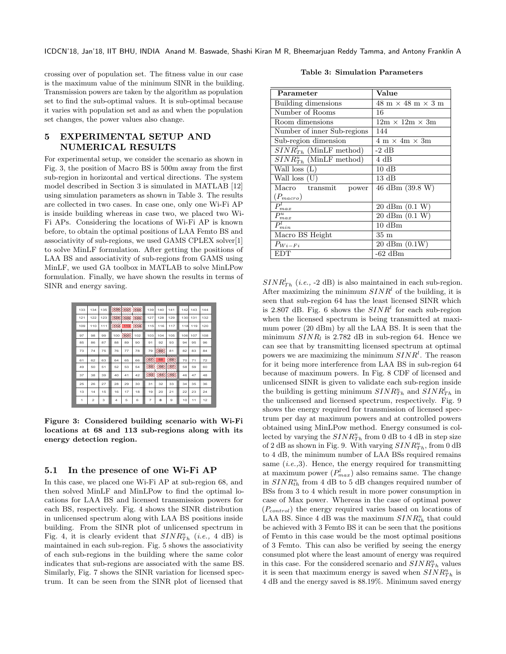crossing over of population set. The fitness value in our case is the maximum value of the minimum SINR in the building. Transmission powers are taken by the algorithm as population set to find the sub-optimal values. It is sub-optimal because it varies with population set and as and when the population set changes, the power values also change.

## 5 EXPERIMENTAL SETUP AND NUMERICAL RESULTS

For experimental setup, we consider the scenario as shown in Fig. [3,](#page-5-0) the position of Macro BS is 500m away from the first sub-region in horizontal and vertical directions. The system model described in Section [3](#page-1-1) is simulated in MATLAB [\[12\]](#page-9-12) using simulation parameters as shown in Table [3.](#page-5-1) The results are collected in two cases. In case one, only one Wi-Fi AP is inside building whereas in case two, we placed two Wi-Fi APs. Considering the locations of Wi-Fi AP is known before, to obtain the optimal positions of LAA Femto BS and associativity of sub-regions, we used GAMS CPLEX solver[\[1\]](#page-9-13) to solve MinLF formulation. After getting the positions of LAA BS and associativity of sub-regions from GAMS using MinLF, we used GA toolbox in MATLAB to solve MinLPow formulation. Finally, we have shown the results in terms of SINR and energy saving.

<span id="page-5-0"></span>

| 133 | 134            | 135 | 4961 | <b>LEC</b> | <b>BER</b> | 139            | 140       | 141       | 142 | 143 | 144 |
|-----|----------------|-----|------|------------|------------|----------------|-----------|-----------|-----|-----|-----|
| 121 | 122            | 123 | 954. | 1556       | 159.       | 127            | 128       | 129       | 130 | 131 | 132 |
| 109 | 110            | 111 | 145  | 113        | 498        | 115            | 116       | 117       | 118 | 119 | 120 |
| 97  | 98             | 99  | 100  | H6K        | 102        | 103            | 104       | 105       | 106 | 107 | 108 |
| 85  | 86             | 87  | 88   | 89         | 90         | 91             | 92        | 93        | 94  | 95  | 96  |
| 73  | 74             | 75  | 76   | 77         | 78         | 79             | 66        | 81        | 82  | 83  | 84  |
| 61  | 62             | 63  | 64   | 65         | 66         | 198            | 68        | 69.       | 70  | 71  | 72  |
| 49  | 50             | 51  | 52   | 53         | 54         | 44             | 36        | 154       | 58  | 59  | 60  |
| 37  | 38             | 39  | 40   | 41         | 42         | 793.           | <b>AR</b> | <b>RK</b> | 46  | 47  | 48  |
| 25  | 26             | 27  | 28   | 29         | 30         | 31             | 32        | 33        | 34  | 35  | 36  |
| 13  | 14             | 15  | 16   | 17         | 18         | 19             | 20        | 21        | 22  | 23  | 24  |
| 1   | $\overline{2}$ | 3   | 4    | 5          | 6          | $\overline{7}$ | 8         | 9         | 10  | 11  | 12  |

Figure 3: Considered building scenario with Wi-Fi locations at 68 and 113 sub-regions along with its energy detection region.

### 5.1 In the presence of one Wi-Fi AP

In this case, we placed one Wi-Fi AP at sub-region 68, and then solved MinLF and MinLPow to find the optimal locations for LAA BS and licensed transmission powers for each BS, respectively. Fig. [4](#page-6-0) shows the SINR distribution in unlicensed spectrum along with LAA BS positions inside building. From the SINR plot of unlicensed spectrum in Fig. [4,](#page-6-0) it is clearly evident that  $SINR_{Th}^u$  (i.e., 4 dB) is maintained in each sub-region. Fig. [5](#page-6-0) shows the associativity of each sub-regions in the building where the same color indicates that sub-regions are associated with the same BS. Similarly, Fig. [7](#page-6-1) shows the SINR variation for licensed spectrum. It can be seen from the SINR plot of licensed that

|  | <b>Table 3: Simulation Parameters</b> |
|--|---------------------------------------|
|  |                                       |

<span id="page-5-1"></span>

| Parameter                         | Value                                                 |  |  |
|-----------------------------------|-------------------------------------------------------|--|--|
| Building dimensions               | $48 \text{ m} \times 48 \text{ m} \times 3 \text{ m}$ |  |  |
| Number of Rooms                   | 16                                                    |  |  |
| Room dimensions                   | $12m \times 12m \times 3m$                            |  |  |
| Number of inner Sub-regions       | 144                                                   |  |  |
| Sub-region dimension              | $4 \text{ m} \times 4\text{ m} \times 3\text{ m}$     |  |  |
| $SINR_{Th}^l$ (MinLF method)      | -2 dB                                                 |  |  |
| $SINR_{Th}^u$ (MinLF method)      | 4 dB                                                  |  |  |
| Wall loss $(L)$                   | $10 \text{ dB}$                                       |  |  |
| $\overline{\text{Wall}}$ loss (U) | $13 \text{ dB}$                                       |  |  |
| Macro transmit<br>power           | 46 dBm (39.8 W)                                       |  |  |
| $(P_{macro})$                     |                                                       |  |  |
| $P^l_{max}$                       | $20 \text{ dBm} (0.1 \text{ W})$                      |  |  |
| $P_{max}^u$                       | 20 dBm $(0.1 W)$                                      |  |  |
| $P_{min}^{\iota}$                 | $10 \text{ dBm}$                                      |  |  |
| Macro BS Height                   | $35~\mathrm{m}$                                       |  |  |
| $P_{Wi-Fi}$                       | $20 \text{ dBm} (0.1W)$                               |  |  |
| <b>EDT</b>                        | $-62$ dBm                                             |  |  |

 $SINR_{Th}^l$  (*i.e.*, -2 dB) is also maintained in each sub-region. After maximizing the minimum  $SINR<sup>l</sup>$  of the building, it is seen that sub-region 64 has the least licensed SINR which is 2.807 dB. Fig. [6](#page-6-1) shows the  $SINR<sup>l</sup>$  for each sub-region when the licensed spectrum is being transmitted at maximum power (20 dBm) by all the LAA BS. It is seen that the minimum  $SINR_l$  is 2.782 dB in sub-region 64. Hence we can see that by transmitting licensed spectrum at optimal powers we are maximizing the minimum  $SINR<sup>l</sup>$ . The reason for it being more interference from LAA BS in sub-region 64 because of maximum powers. In Fig. [8](#page-7-0) CDF of licensed and unlicensed SINR is given to validate each sub-region inside the building is getting minimum  $SINR_{Th}^u$  and  $SINR_{Th}^l$  in the unlicensed and licensed spectrum, respectively. Fig. [9](#page-7-0) shows the energy required for transmission of licensed spectrum per day at maximum powers and at controlled powers obtained using MinLPow method. Energy consumed is collected by varying the  $SINR_{Th}^u$  from 0 dB to 4 dB in step size of 2 dB as shown in Fig. [9.](#page-7-0) With varying  $SINR_{Th}^u$ , from 0 dB to 4 dB, the minimum number of LAA BSs required remains same  $(i.e., 3)$ . Hence, the energy required for transmitting at maximum power  $(P_{max}^l)$  also remains same. The change in  $SINR_{th}^u$  from 4 dB to 5 dB changes required number of BSs from 3 to 4 which result in more power consumption in case of Max power. Whereas in the case of optimal power  $(P_{control})$  the energy required varies based on locations of LAA BS. Since 4 dB was the maximum  $SINR_{th}^u$  that could be achieved with 3 Femto BS it can be seen that the positions of Femto in this case would be the most optimal positions of 3 Femto. This can also be verified by seeing the energy consumed plot where the least amount of energy was required in this case. For the considered scenario and  $SINR_{Th}^u$  values it is seen that maximum energy is saved when  $SINR_{Th}^u$  is 4 dB and the energy saved is 88.19%. Minimum saved energy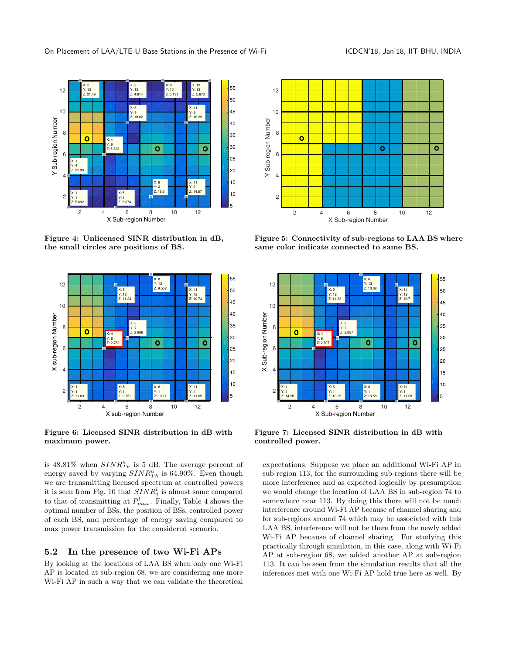<span id="page-6-0"></span>

Figure 4: Unlicensed SINR distribution in dB, the small circles are positions of BS.

<span id="page-6-1"></span>

Figure 6: Licensed SINR distribution in dB with maximum power.

is  $48.81\%$  when  $SINR_{Th}^u$  is 5 dB. The average percent of energy saved by varying  $SINR_{Th}^u$  is 64.90%. Even though we are transmitting licensed spectrum at controlled powers it is seen from Fig. [10](#page-7-0) that  $SINR_j^l$  is almost same compared to that of transmitting at  $P_{max}^l$ . Finally, Table [4](#page-7-1) shows the optimal number of BSs, the position of BSs, controlled power of each BS, and percentage of energy saving compared to max power transmission for the considered scenario.

### 5.2 In the presence of two Wi-Fi APs

By looking at the locations of LAA BS when only one Wi-Fi AP is located at sub-region 68, we are considering one more Wi-Fi AP in such a way that we can validate the theoretical



Figure 5: Connectivity of sub-regions to LAA BS where same color indicate connected to same BS.



Figure 7: Licensed SINR distribution in dB with controlled power.

expectations. Suppose we place an additional Wi-Fi AP in sub-region 113, for the surrounding sub-regions there will be more interference and as expected logically by presumption we would change the location of LAA BS in sub-region 74 to somewhere near 113. By doing this there will not be much interference around Wi-Fi AP because of channel sharing and for sub-regions around 74 which may be associated with this LAA BS, interference will not be there from the newly added Wi-Fi AP because of channel sharing. For studying this practically through simulation, in this case, along with Wi-Fi AP at sub-region 68, we added another AP at sub-region 113. It can be seen from the simulation results that all the inferences met with one Wi-Fi AP hold true here as well. By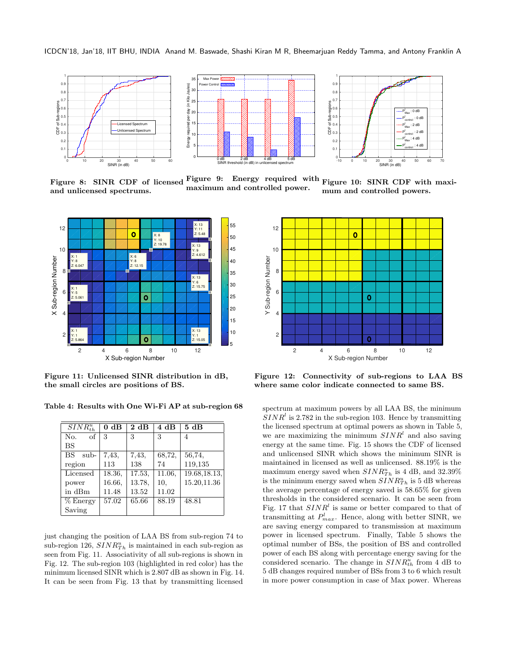<span id="page-7-0"></span>

Figure 8: SINR CDF of licensed and unlicensed spectrums. Figure 9: Energy required with maximum and controlled power. Figure 10: SINR CDF with maximum and controlled powers.

<span id="page-7-2"></span>

Figure 11: Unlicensed SINR distribution in dB, the small circles are positions of BS.

<span id="page-7-1"></span>Table 4: Results with One Wi-Fi AP at sub-region 68

| $SINR_{th}^u$ | $0 \text{ dB}$ | 2 dB   | 4 dB   | 5 dB          |
|---------------|----------------|--------|--------|---------------|
| No.<br>of     | 3              | 3      | 3      | 4             |
| <b>BS</b>     |                |        |        |               |
| BS<br>sub-    | 7.43,          | 7,43,  | 68,72, | 56,74,        |
| region        | 113            | 138    | 74     | 119,135       |
| Licensed      | 18.36.         | 17.53. | 11.06. | 19.68, 18.13, |
| power         | 16.66.         | 13.78. | 10.    | 15.20,11.36   |
| in dBm        | 11.48          | 13.52  | 11.02  |               |
| $%$ Energy    | 57.02          | 65.66  | 88.19  | 48.81         |
| Saving        |                |        |        |               |

just changing the position of LAA BS from sub-region 74 to sub-region 126,  $SINR_{Th}^u$  is maintained in each sub-region as seen from Fig. [11.](#page-7-2) Associativity of all sub-regions is shown in Fig. [12.](#page-7-2) The sub-region 103 (highlighted in red color) has the minimum licensed SINR which is 2.807 dB as shown in Fig. [14.](#page-8-0) It can be seen from Fig. [13](#page-8-0) that by transmitting licensed



Figure 12: Connectivity of sub-regions to LAA BS where same color indicate connected to same BS.

spectrum at maximum powers by all LAA BS, the minimum  $SINR<sup>l</sup>$  is 2.782 in the sub-region 103. Hence by transmitting the licensed spectrum at optimal powers as shown in Table [5,](#page-8-1) we are maximizing the minimum  $SINR<sup>l</sup>$  and also saving energy at the same time. Fig. [15](#page-9-14) shows the CDF of licensed and unlicensed SINR which shows the minimum SINR is maintained in licensed as well as unlicensed. 88.19% is the maximum energy saved when  $SINR_{Th}^u$  is 4 dB, and 32.39% is the minimum energy saved when  $SINR_{Th}^u$  is 5 dB whereas the average percentage of energy saved is 58.65% for given thresholds in the considered scenario. It can be seen from Fig. [17](#page-9-14) that  $SINR<sup>l</sup>$  is same or better compared to that of transmitting at  $P_{max}^l$ . Hence, along with better SINR, we are saving energy compared to transmission at maximum power in licensed spectrum. Finally, Table [5](#page-8-1) shows the optimal number of BSs, the position of BS and controlled power of each BS along with percentage energy saving for the considered scenario. The change in  $SINR_{th}^u$  from 4 dB to 5 dB changes required number of BSs from 3 to 6 which result in more power consumption in case of Max power. Whereas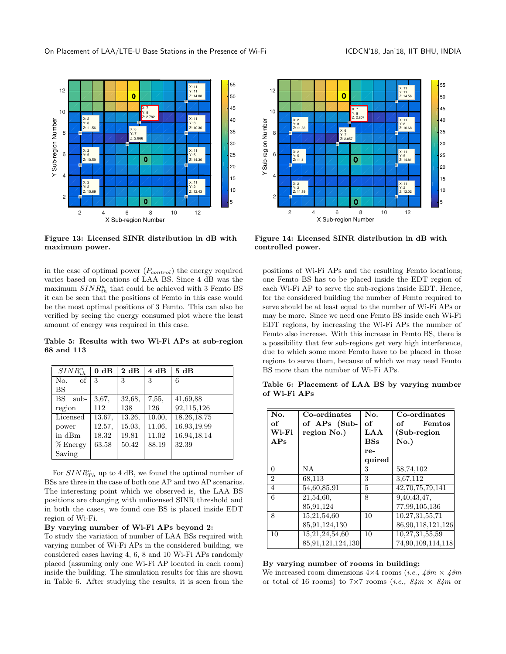<span id="page-8-0"></span>

Figure 13: Licensed SINR distribution in dB with maximum power.

in the case of optimal power  $(P_{control})$  the energy required varies based on locations of LAA BS. Since 4 dB was the maximum  $SINR_{th}^u$  that could be achieved with 3 Femto BS it can be seen that the positions of Femto in this case would be the most optimal positions of 3 Femto. This can also be verified by seeing the energy consumed plot where the least amount of energy was required in this case.

<span id="page-8-1"></span>Table 5: Results with two Wi-Fi APs at sub-region 68 and 113

| $SINR_{th}^u$     | $0 \text{ dB}$ | 2 dB   | 4 dB   | 5 dB         |
|-------------------|----------------|--------|--------|--------------|
| of<br>No.         | 3              | 3      | 3      | 6            |
| BS                |                |        |        |              |
| <b>BS</b><br>sub- | 3,67,          | 32,68, | 7,55,  | 41,69,88     |
| region            | 112            | 138    | 126    | 92,115,126   |
| Licensed          | 13.67.         | 13.26, | 10.00, | 18.26, 18.75 |
| power             | 12.57,         | 15.03. | 11.06. | 16.93.19.99  |
| in dBm            | 18.32          | 19.81  | 11.02  | 16.94,18.14  |
| $%$ Energy        | 63.58          | 50.42  | 88.19  | 32.39        |
| Saving            |                |        |        |              |

For  $SINR_{Th}^u$  up to 4 dB, we found the optimal number of BSs are three in the case of both one AP and two AP scenarios. The interesting point which we observed is, the LAA BS positions are changing with unlicensed SINR threshold and in both the cases, we found one BS is placed inside EDT region of Wi-Fi.

### By varying number of Wi-Fi APs beyond 2:

To study the variation of number of LAA BSs required with varying number of Wi-Fi APs in the considered building, we considered cases having 4, 6, 8 and 10 Wi-Fi APs randomly placed (assuming only one Wi-Fi AP located in each room) inside the building. The simulation results for this are shown in Table [6.](#page-8-2) After studying the results, it is seen from the



Figure 14: Licensed SINR distribution in dB with controlled power.

positions of Wi-Fi APs and the resulting Femto locations; one Femto BS has to be placed inside the EDT region of each Wi-Fi AP to serve the sub-regions inside EDT. Hence, for the considered building the number of Femto required to serve should be at least equal to the number of Wi-Fi APs or may be more. Since we need one Femto BS inside each Wi-Fi EDT regions, by increasing the Wi-Fi APs the number of Femto also increase. With this increase in Femto BS, there is a possibility that few sub-regions get very high interference, due to which some more Femto have to be placed in those regions to serve them, because of which we may need Femto BS more than the number of Wi-Fi APs.

<span id="page-8-2"></span>Table 6: Placement of LAA BS by varying number of Wi-Fi APs

| No.            | Co-ordinates      | No.        | Co-ordinates      |
|----------------|-------------------|------------|-------------------|
| of             | of APs (Sub-      | of         | Femtos<br>of      |
| Wi-Fi          | region No.)       | LAA        | (Sub-region       |
| APs            |                   | <b>BSs</b> | $No.$ )           |
|                |                   | re-        |                   |
|                |                   | quired     |                   |
| 0              | NA.               | 3          | 58,74,102         |
| $\overline{2}$ | 68,113            | 3          | 3,67,112          |
| $\overline{4}$ | 54,60,85,91       | 5          | 42,70,75,79,141   |
| 6              | 21,54,60,         | 8          | 9,40,43,47,       |
|                | 85,91,124         |            | 77,99,105,136     |
| 8              | 15,21,54,60       | 10         | 10,27,31,55,71    |
|                | 85,91,124,130     |            | 86,90,118,121,126 |
| 10             | 15,21,24,54,60    | 10         | 10,27,31,55,59    |
|                | 85,91,121,124,130 |            | 74,90,109,114,118 |

#### By varying number of rooms in building:

We increased room dimensions  $4\times4$  rooms (*i.e.*,  $48m \times 48m$ or total of 16 rooms) to 7×7 rooms (*i.e.*,  $84m \times 84m$  or